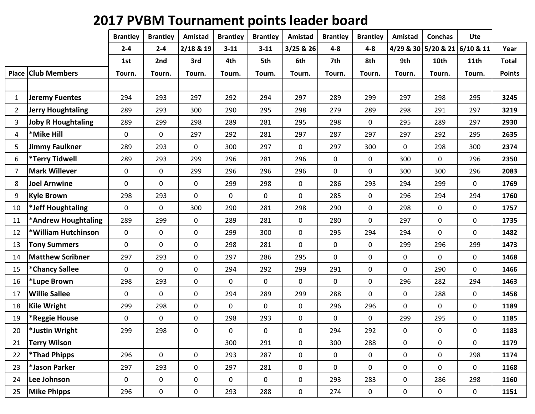## **2017 PVBM Tournament points leader board**

|       |                            | <b>Brantley</b> | <b>Brantley</b> | Amistad     | <b>Brantley</b> | <b>Brantley</b> | Amistad     | <b>Brantley</b> | <b>Brantley</b> | Amistad | <b>Conchas</b>      | <b>Ute</b>       |               |
|-------|----------------------------|-----------------|-----------------|-------------|-----------------|-----------------|-------------|-----------------|-----------------|---------|---------------------|------------------|---------------|
|       |                            | $2 - 4$         | $2 - 4$         | $2/18$ & 19 | $3 - 11$        | $3 - 11$        | 3/25 & 26   | $4 - 8$         | $4 - 8$         |         | 4/29 & 30 5/20 & 21 | 6/10 & 11        | Year          |
|       |                            | 1st             | 2nd             | 3rd         | 4th             | 5th             | 6th         | 7th             | 8th             | 9th     | 10th                | 11 <sub>th</sub> | <b>Total</b>  |
| Place | <b>Club Members</b>        | Tourn.          | Tourn.          | Tourn.      | Tourn.          | Tourn.          | Tourn.      | Tourn.          | Tourn.          | Tourn.  | Tourn.              | Tourn.           | <b>Points</b> |
|       |                            |                 |                 |             |                 |                 |             |                 |                 |         |                     |                  |               |
| 1     | <b>Jeremy Fuentes</b>      | 294             | 293             | 297         | 292             | 294             | 297         | 289             | 299             | 297     | 298                 | 295              | 3245          |
| 2     | <b>Jerry Houghtaling</b>   | 289             | 293             | 300         | 290             | 295             | 298         | 279             | 289             | 298     | 291                 | 297              | 3219          |
| 3     | <b>Joby R Houghtaling</b>  | 289             | 299             | 298         | 289             | 281             | 295         | 298             | 0               | 295     | 289                 | 297              | 2930          |
| 4     | *Mike Hill                 | 0               | 0               | 297         | 292             | 281             | 297         | 287             | 297             | 297     | 292                 | 295              | 2635          |
| 5     | <b>Jimmy Faulkner</b>      | 289             | 293             | $\mathbf 0$ | 300             | 297             | $\mathbf 0$ | 297             | 300             | 0       | 298                 | 300              | 2374          |
| 6     | *Terry Tidwell             | 289             | 293             | 299         | 296             | 281             | 296         | $\mathbf 0$     | $\mathbf 0$     | 300     | $\mathbf 0$         | 296              | 2350          |
| 7     | <b>Mark Willever</b>       | $\mathbf 0$     | $\mathbf 0$     | 299         | 296             | 296             | 296         | $\mathbf 0$     | $\mathbf 0$     | 300     | 300                 | 296              | 2083          |
| 8     | <b>Joel Arnwine</b>        | 0               | $\mathbf 0$     | $\mathbf 0$ | 299             | 298             | 0           | 286             | 293             | 294     | 299                 | $\mathbf 0$      | 1769          |
| 9     | <b>Kyle Brown</b>          | 298             | 293             | $\mathbf 0$ | $\mathbf 0$     | $\mathbf 0$     | $\mathbf 0$ | 285             | $\mathbf 0$     | 296     | 294                 | 294              | 1760          |
| 10    | *Jeff Houghtaling          | $\mathbf 0$     | $\mathbf 0$     | 300         | 290             | 281             | 298         | 290             | $\pmb{0}$       | 298     | $\mathbf 0$         | $\mathbf 0$      | 1757          |
| 11    | *Andrew Houghtaling        | 289             | 299             | $\mathbf 0$ | 289             | 281             | $\pmb{0}$   | 280             | $\mathbf 0$     | 297     | 0                   | $\pmb{0}$        | 1735          |
| 12    | *William Hutchinson        | $\mathbf 0$     | $\pmb{0}$       | $\mathbf 0$ | 299             | 300             | $\pmb{0}$   | 295             | 294             | 294     | $\mathbf 0$         | $\mathbf 0$      | 1482          |
| 13    | <b>Tony Summers</b>        | 0               | $\mathbf 0$     | 0           | 298             | 281             | $\mathbf 0$ | $\mathbf 0$     | $\mathbf 0$     | 299     | 296                 | 299              | 1473          |
| 14    | <b>Matthew Scribner</b>    | 297             | 293             | $\mathbf 0$ | 297             | 286             | 295         | $\mathbf 0$     | $\pmb{0}$       | 0       | $\mathbf 0$         | $\pmb{0}$        | 1468          |
| 15    | *Chancy Sallee             | $\mathbf 0$     | $\mathbf 0$     | $\mathbf 0$ | 294             | 292             | 299         | 291             | 0               | 0       | 290                 | $\mathbf 0$      | 1466          |
| 16    | *Lupe Brown                | 298             | 293             | $\pmb{0}$   | 0               | $\mathbf 0$     | $\mathbf 0$ | $\mathbf 0$     | 0               | 296     | 282                 | 294              | 1463          |
| 17    | <b>Willie Sallee</b>       | $\mathbf 0$     | $\mathbf 0$     | 0           | 294             | 289             | 299         | 288             | 0               | 0       | 288                 | 0                | 1458          |
| 18    | <b>Kile Wright</b>         | 299             | 298             | $\pmb{0}$   | $\mathbf 0$     | 0               | 0           | 296             | 296             | 0       | 0                   | $\pmb{0}$        | 1189          |
| 19    | *Reggie House              | 0               | $\pmb{0}$       | 0           | 298             | 293             | 0           | $\mathbf 0$     | 0               | 299     | 295                 | 0                | 1185          |
| 20    | *Justin Wright             | 299             | 298             | $\mathbf 0$ | 0               | $\pmb{0}$       | 0           | 294             | 292             | 0       | $\pmb{0}$           | $\mathbf 0$      | 1183          |
| 21    | <b>Terry Wilson</b>        |                 |                 |             | 300             | 291             | $\mathbf 0$ | 300             | 288             | 0       | $\pmb{0}$           | 0                | 1179          |
| 22    | <i><b>*Thad Phipps</b></i> | 296             | $\pmb{0}$       | $\pmb{0}$   | 293             | 287             | $\pmb{0}$   | $\pmb{0}$       | $\mathbf 0$     | 0       | $\pmb{0}$           | 298              | 1174          |
| 23    | *Jason Parker              | 297             | 293             | $\pmb{0}$   | 297             | 281             | 0           | $\mathbf 0$     | $\mathbf 0$     | 0       | $\mathbf 0$         | 0                | 1168          |
| 24    | Lee Johnson                | $\mathbf 0$     | $\pmb{0}$       | 0           | $\mathbf 0$     | $\mathbf 0$     | $\pmb{0}$   | 293             | 283             | 0       | 286                 | 298              | 1160          |
| 25    | <b>Mike Phipps</b>         | 296             | $\pmb{0}$       | $\pmb{0}$   | 293             | 288             | $\mathbf 0$ | 274             | 0               | 0       | $\boldsymbol{0}$    | 0                | 1151          |